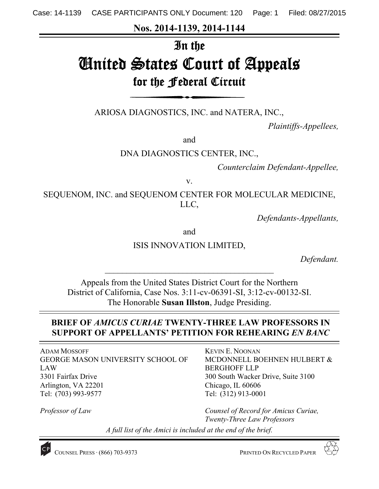**Nos. 2014-1139, 2014-1144** 

# In the

# United States Court of Appeals for the Federal Circuit

ARIOSA DIAGNOSTICS, INC. and NATERA, INC.,

*Plaintiffs-Appellees,* 

and

DNA DIAGNOSTICS CENTER, INC.,

*Counterclaim Defendant-Appellee,* 

v.

SEQUENOM, INC. and SEQUENOM CENTER FOR MOLECULAR MEDICINE, LLC,

*Defendants-Appellants,* 

and

ISIS INNOVATION LIMITED,

*Defendant.* 

Appeals from the United States District Court for the Northern District of California, Case Nos. 3:11-cv-06391-SI, 3:12-cv-00132-SI. The Honorable **Susan Illston**, Judge Presiding.

# **BRIEF OF** *AMICUS CURIAE* **TWENTY-THREE LAW PROFESSORS IN SUPPORT OF APPELLANTS' PETITION FOR REHEARING** *EN BANC*

ADAM MOSSOFF GEORGE MASON UNIVERSITY SCHOOL OF LAW 3301 Fairfax Drive Arlington, VA 22201 Tel: (703) 993-9577

*Professor of Law* 

KEVIN E. NOONAN MCDONNELL BOEHNEN HULBERT & BERGHOFF LLP 300 South Wacker Drive, Suite 3100 Chicago, IL 60606 Tel: (312) 913-0001

*Counsel of Record for Amicus Curiae, Twenty-Three Law Professors* 

*A full list of the Amici is included at the end of the brief.* 



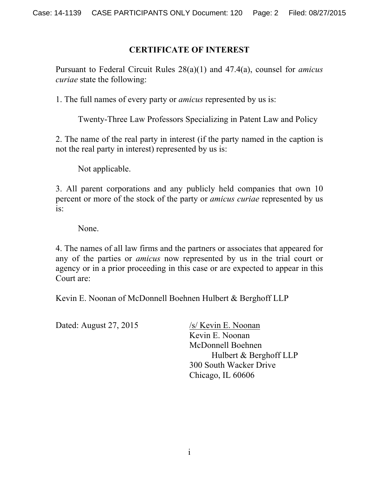## **CERTIFICATE OF INTEREST**

Pursuant to Federal Circuit Rules 28(a)(1) and 47.4(a), counsel for *amicus curiae* state the following:

1. The full names of every party or *amicus* represented by us is:

Twenty-Three Law Professors Specializing in Patent Law and Policy

2. The name of the real party in interest (if the party named in the caption is not the real party in interest) represented by us is:

Not applicable.

3. All parent corporations and any publicly held companies that own 10 percent or more of the stock of the party or *amicus curiae* represented by us is:

None.

4. The names of all law firms and the partners or associates that appeared for any of the parties or *amicus* now represented by us in the trial court or agency or in a prior proceeding in this case or are expected to appear in this Court are:

Kevin E. Noonan of McDonnell Boehnen Hulbert & Berghoff LLP

Dated: August 27, 2015 /s/ Kevin E. Noonan

 Kevin E. Noonan McDonnell Boehnen Hulbert & Berghoff LLP 300 South Wacker Drive Chicago, IL 60606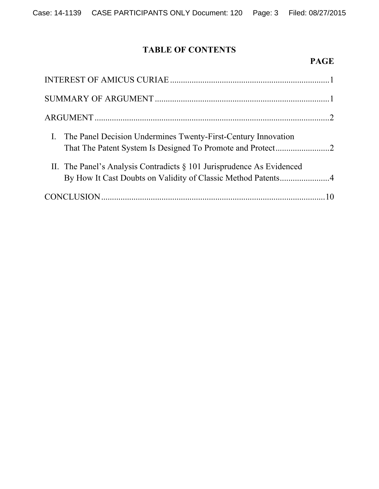# **TABLE OF CONTENTS**

## **PAGE**

| I. The Panel Decision Undermines Twenty-First-Century Innovation                                                                         |  |
|------------------------------------------------------------------------------------------------------------------------------------------|--|
| II. The Panel's Analysis Contradicts $\S$ 101 Jurisprudence As Evidenced<br>By How It Cast Doubts on Validity of Classic Method Patents4 |  |
|                                                                                                                                          |  |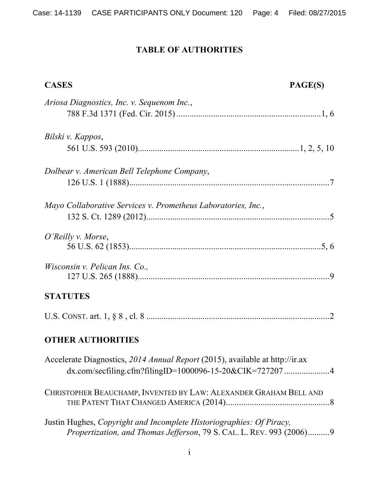# **TABLE OF AUTHORITIES**

| <b>CASES</b>                                                                                                                                 | PAGE(S) |
|----------------------------------------------------------------------------------------------------------------------------------------------|---------|
| Ariosa Diagnostics, Inc. v. Sequenom Inc.,                                                                                                   |         |
| Bilski v. Kappos,                                                                                                                            |         |
|                                                                                                                                              |         |
| Dolbear v. American Bell Telephone Company,                                                                                                  |         |
|                                                                                                                                              |         |
| Mayo Collaborative Services v. Prometheus Laboratories, Inc.,                                                                                |         |
| O'Reilly v. Morse,                                                                                                                           |         |
|                                                                                                                                              |         |
| Wisconsin v. Pelican Ins. Co.,                                                                                                               |         |
| <b>STATUTES</b>                                                                                                                              |         |
|                                                                                                                                              |         |
| <b>OTHER AUTHORITIES</b>                                                                                                                     |         |
| Accelerate Diagnostics, 2014 Annual Report (2015), available at http://ir.ax<br>dx.com/secfiling.cfm?filingID=1000096-15-20&CIK=7272074      |         |
| CHRISTOPHER BEAUCHAMP, INVENTED BY LAW: ALEXANDER GRAHAM BELL AND                                                                            |         |
| Justin Hughes, Copyright and Incomplete Historiographies: Of Piracy,<br>Propertization, and Thomas Jefferson, 79 S. CAL. L. REV. 993 (2006)9 |         |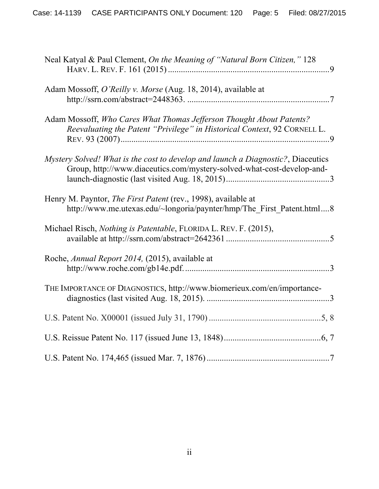| Neal Katyal & Paul Clement, On the Meaning of "Natural Born Citizen," 128                                                                                  |
|------------------------------------------------------------------------------------------------------------------------------------------------------------|
| Adam Mossoff, O'Reilly v. Morse (Aug. 18, 2014), available at                                                                                              |
| Adam Mossoff, Who Cares What Thomas Jefferson Thought About Patents?<br>Reevaluating the Patent "Privilege" in Historical Context, 92 CORNELL L.           |
| Mystery Solved! What is the cost to develop and launch a Diagnostic?, Diaceutics<br>Group, http://www.diaceutics.com/mystery-solved-what-cost-develop-and- |
| Henry M. Payntor, <i>The First Patent</i> (rev., 1998), available at<br>http://www.me.utexas.edu/~longoria/paynter/hmp/The First Patent.html8              |
| Michael Risch, <i>Nothing is Patentable</i> , FLORIDA L. REV. F. (2015),                                                                                   |
| Roche, Annual Report 2014, (2015), available at                                                                                                            |
| THE IMPORTANCE OF DIAGNOSTICS, http://www.biomerieux.com/en/importance-                                                                                    |
|                                                                                                                                                            |
|                                                                                                                                                            |
|                                                                                                                                                            |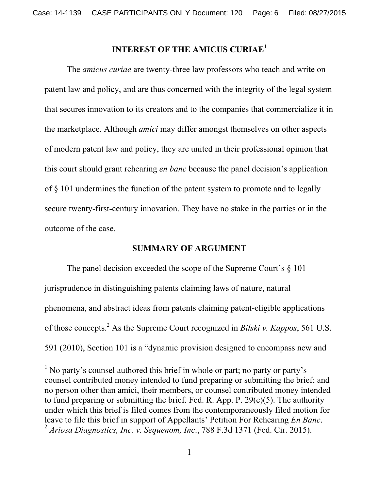# **INTEREST OF THE AMICUS CURIAE**<sup>1</sup>

The *amicus curiae* are twenty-three law professors who teach and write on patent law and policy, and are thus concerned with the integrity of the legal system that secures innovation to its creators and to the companies that commercialize it in the marketplace. Although *amici* may differ amongst themselves on other aspects of modern patent law and policy, they are united in their professional opinion that this court should grant rehearing *en banc* because the panel decision's application of § 101 undermines the function of the patent system to promote and to legally secure twenty-first-century innovation. They have no stake in the parties or in the outcome of the case.

#### **SUMMARY OF ARGUMENT**

The panel decision exceeded the scope of the Supreme Court's  $\S$  101 jurisprudence in distinguishing patents claiming laws of nature, natural phenomena, and abstract ideas from patents claiming patent-eligible applications of those concepts.<sup>2</sup> As the Supreme Court recognized in *Bilski v. Kappos*, 561 U.S. 591 (2010), Section 101 is a "dynamic provision designed to encompass new and

l

<sup>&</sup>lt;sup>1</sup> No party's counsel authored this brief in whole or part; no party or party's counsel contributed money intended to fund preparing or submitting the brief; and no person other than amici, their members, or counsel contributed money intended to fund preparing or submitting the brief. Fed. R. App. P.  $29(c)(5)$ . The authority under which this brief is filed comes from the contemporaneously filed motion for leave to file this brief in support of Appellants' Petition For Rehearing *En Banc*. 2 *Ariosa Diagnostics, Inc. v. Sequenom, Inc*., 788 F.3d 1371 (Fed. Cir. 2015).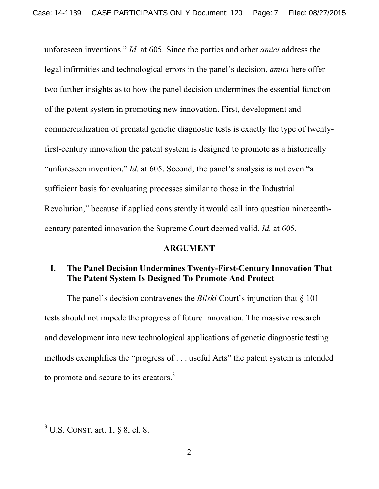unforeseen inventions." *Id.* at 605. Since the parties and other *amici* address the legal infirmities and technological errors in the panel's decision, *amici* here offer two further insights as to how the panel decision undermines the essential function of the patent system in promoting new innovation. First, development and commercialization of prenatal genetic diagnostic tests is exactly the type of twentyfirst-century innovation the patent system is designed to promote as a historically "unforeseen invention." *Id.* at 605. Second, the panel's analysis is not even "a sufficient basis for evaluating processes similar to those in the Industrial Revolution," because if applied consistently it would call into question nineteenthcentury patented innovation the Supreme Court deemed valid. *Id.* at 605.

#### **ARGUMENT**

### **I. The Panel Decision Undermines Twenty-First-Century Innovation That The Patent System Is Designed To Promote And Protect**

The panel's decision contravenes the *Bilski* Court's injunction that § 101 tests should not impede the progress of future innovation. The massive research and development into new technological applications of genetic diagnostic testing methods exemplifies the "progress of . . . useful Arts" the patent system is intended to promote and secure to its creators.<sup>3</sup>

 $\overline{a}$ 

 $3 \text{ U.S.}$  CONST. art. 1, § 8, cl. 8.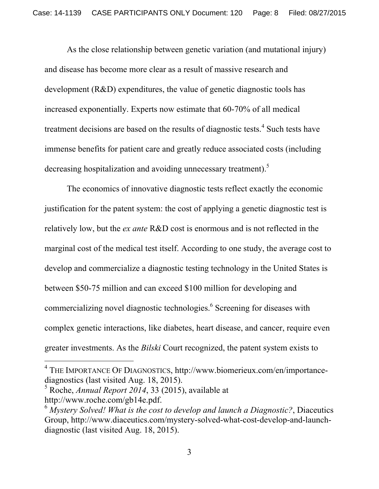As the close relationship between genetic variation (and mutational injury) and disease has become more clear as a result of massive research and development (R&D) expenditures, the value of genetic diagnostic tools has increased exponentially. Experts now estimate that 60-70% of all medical treatment decisions are based on the results of diagnostic tests.<sup>4</sup> Such tests have immense benefits for patient care and greatly reduce associated costs (including decreasing hospitalization and avoiding unnecessary treatment).<sup>5</sup>

The economics of innovative diagnostic tests reflect exactly the economic justification for the patent system: the cost of applying a genetic diagnostic test is relatively low, but the *ex ante* R&D cost is enormous and is not reflected in the marginal cost of the medical test itself. According to one study, the average cost to develop and commercialize a diagnostic testing technology in the United States is between \$50-75 million and can exceed \$100 million for developing and commercializing novel diagnostic technologies.<sup>6</sup> Screening for diseases with complex genetic interactions, like diabetes, heart disease, and cancer, require even greater investments. As the *Bilski* Court recognized, the patent system exists to

l

<sup>4</sup> THE IMPORTANCE OF DIAGNOSTICS, http://www.biomerieux.com/en/importancediagnostics (last visited Aug. 18, 2015).

<sup>5</sup> Roche, *Annual Report 2014*, 33 (2015), available at http://www.roche.com/gb14e.pdf.

<sup>6</sup> *Mystery Solved! What is the cost to develop and launch a Diagnostic?*, Diaceutics Group, http://www.diaceutics.com/mystery-solved-what-cost-develop-and-launchdiagnostic (last visited Aug. 18, 2015).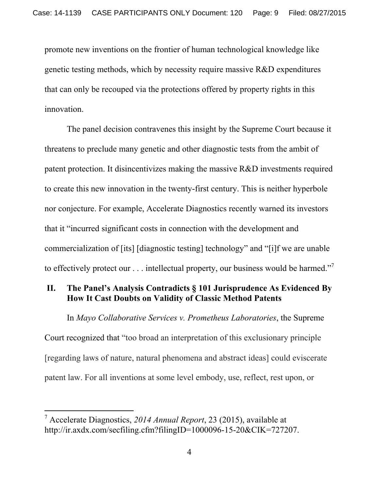promote new inventions on the frontier of human technological knowledge like genetic testing methods, which by necessity require massive R&D expenditures that can only be recouped via the protections offered by property rights in this innovation.

The panel decision contravenes this insight by the Supreme Court because it threatens to preclude many genetic and other diagnostic tests from the ambit of patent protection. It disincentivizes making the massive R&D investments required to create this new innovation in the twenty-first century. This is neither hyperbole nor conjecture. For example, Accelerate Diagnostics recently warned its investors that it "incurred significant costs in connection with the development and commercialization of [its] [diagnostic testing] technology" and "[i]f we are unable to effectively protect our  $\dots$  intellectual property, our business would be harmed."<sup>7</sup>

# **II. The Panel's Analysis Contradicts § 101 Jurisprudence As Evidenced By How It Cast Doubts on Validity of Classic Method Patents**

In *Mayo Collaborative Services v. Prometheus Laboratories*, the Supreme Court recognized that "too broad an interpretation of this exclusionary principle [regarding laws of nature, natural phenomena and abstract ideas] could eviscerate patent law. For all inventions at some level embody, use, reflect, rest upon, or

-

<sup>7</sup> Accelerate Diagnostics, *2014 Annual Report*, 23 (2015), available at http://ir.axdx.com/secfiling.cfm?filingID=1000096-15-20&CIK=727207.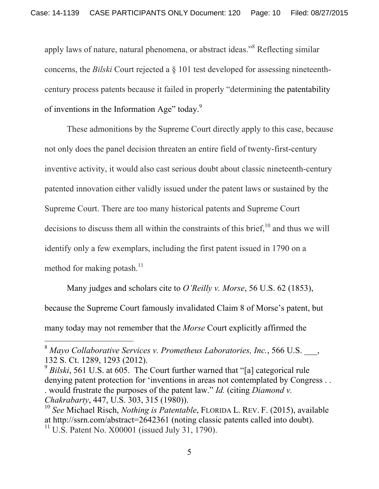apply laws of nature, natural phenomena, or abstract ideas."<sup>8</sup> Reflecting similar concerns, the *Bilski* Court rejected a § 101 test developed for assessing nineteenthcentury process patents because it failed in properly "determining the patentability of inventions in the Information Age" today.<sup>9</sup>

These admonitions by the Supreme Court directly apply to this case, because not only does the panel decision threaten an entire field of twenty-first-century inventive activity, it would also cast serious doubt about classic nineteenth-century patented innovation either validly issued under the patent laws or sustained by the Supreme Court. There are too many historical patents and Supreme Court decisions to discuss them all within the constraints of this brief, $^{10}$  and thus we will identify only a few exemplars, including the first patent issued in 1790 on a method for making potash. $^{11}$ 

Many judges and scholars cite to *O'Reilly v. Morse*, 56 U.S. 62 (1853), because the Supreme Court famously invalidated Claim 8 of Morse's patent, but many today may not remember that the *Morse* Court explicitly affirmed the

-

<sup>8</sup> *Mayo Collaborative Services v. Prometheus Laboratories, Inc.*, 566 U.S. \_\_\_, 132 S. Ct. 1289, 1293 (2012).

<sup>&</sup>lt;sup>9</sup> Bilski, 561 U.S. at 605. The Court further warned that "[a] categorical rule denying patent protection for 'inventions in areas not contemplated by Congress . . . would frustrate the purposes of the patent law." *Id.* (citing *Diamond v. Chakrabarty*, 447, U.S. 303, 315 (1980)).

<sup>10</sup> *See* Michael Risch, *Nothing is Patentable*, FLORIDA L. REV. F. (2015), available at http://ssrn.com/abstract=2642361 (noting classic patents called into doubt).  $11 \text{ U.S.}$  Patent No.  $X00001$  (issued July 31, 1790).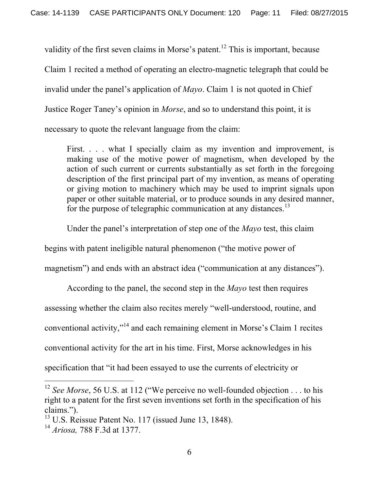validity of the first seven claims in Morse's patent.<sup>12</sup> This is important, because Claim 1 recited a method of operating an electro-magnetic telegraph that could be invalid under the panel's application of *Mayo*. Claim 1 is not quoted in Chief Justice Roger Taney's opinion in *Morse*, and so to understand this point, it is necessary to quote the relevant language from the claim:

First. . . . what I specially claim as my invention and improvement, is making use of the motive power of magnetism, when developed by the action of such current or currents substantially as set forth in the foregoing description of the first principal part of my invention, as means of operating or giving motion to machinery which may be used to imprint signals upon paper or other suitable material, or to produce sounds in any desired manner, for the purpose of telegraphic communication at any distances.<sup>13</sup>

Under the panel's interpretation of step one of the *Mayo* test, this claim

begins with patent ineligible natural phenomenon ("the motive power of

magnetism") and ends with an abstract idea ("communication at any distances").

According to the panel, the second step in the *Mayo* test then requires assessing whether the claim also recites merely "well-understood, routine, and conventional activity,"14 and each remaining element in Morse's Claim 1 recites conventional activity for the art in his time. First, Morse acknowledges in his specification that "it had been essayed to use the currents of electricity or

l

<sup>&</sup>lt;sup>12</sup> *See Morse*, 56 U.S. at 112 ("We perceive no well-founded objection . . . to his right to a patent for the first seven inventions set forth in the specification of his claims.").

 $13$  U.S. Reissue Patent No. 117 (issued June 13, 1848).

<sup>14</sup> *Ariosa,* 788 F.3d at 1377.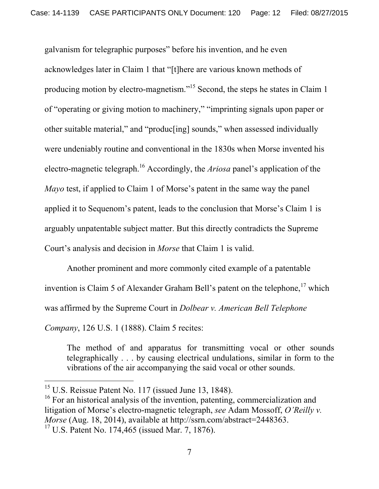galvanism for telegraphic purposes" before his invention, and he even acknowledges later in Claim 1 that "[t]here are various known methods of producing motion by electro-magnetism."15 Second, the steps he states in Claim 1 of "operating or giving motion to machinery," "imprinting signals upon paper or other suitable material," and "produc[ing] sounds," when assessed individually were undeniably routine and conventional in the 1830s when Morse invented his electro-magnetic telegraph.16 Accordingly, the *Ariosa* panel's application of the *Mayo* test, if applied to Claim 1 of Morse's patent in the same way the panel applied it to Sequenom's patent, leads to the conclusion that Morse's Claim 1 is arguably unpatentable subject matter. But this directly contradicts the Supreme Court's analysis and decision in *Morse* that Claim 1 is valid.

Another prominent and more commonly cited example of a patentable invention is Claim 5 of Alexander Graham Bell's patent on the telephone,  $17$  which was affirmed by the Supreme Court in *Dolbear v. American Bell Telephone Company*, 126 U.S. 1 (1888). Claim 5 recites:

The method of and apparatus for transmitting vocal or other sounds telegraphically . . . by causing electrical undulations, similar in form to the vibrations of the air accompanying the said vocal or other sounds.

 $\overline{a}$ 

 $15$  U.S. Reissue Patent No. 117 (issued June 13, 1848).

 $16$  For an historical analysis of the invention, patenting, commercialization and litigation of Morse's electro-magnetic telegraph, *see* Adam Mossoff, *O'Reilly v. Morse* (Aug. 18, 2014), available at http://ssrn.com/abstract=2448363.

 $17 \text{ U.S.}$  Patent No. 174,465 (issued Mar. 7, 1876).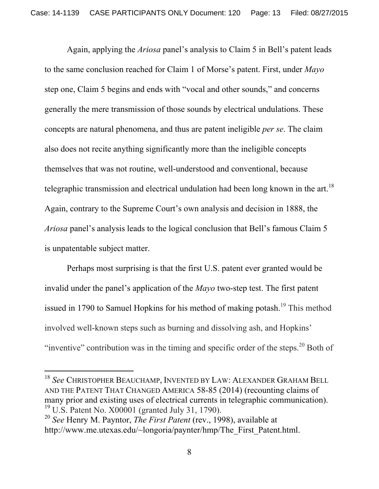Again, applying the *Ariosa* panel's analysis to Claim 5 in Bell's patent leads to the same conclusion reached for Claim 1 of Morse's patent. First, under *Mayo*  step one, Claim 5 begins and ends with "vocal and other sounds," and concerns generally the mere transmission of those sounds by electrical undulations. These concepts are natural phenomena, and thus are patent ineligible *per se*. The claim also does not recite anything significantly more than the ineligible concepts themselves that was not routine, well-understood and conventional, because telegraphic transmission and electrical undulation had been long known in the art.<sup>18</sup> Again, contrary to the Supreme Court's own analysis and decision in 1888, the *Ariosa* panel's analysis leads to the logical conclusion that Bell's famous Claim 5 is unpatentable subject matter.

Perhaps most surprising is that the first U.S. patent ever granted would be invalid under the panel's application of the *Mayo* two-step test. The first patent issued in 1790 to Samuel Hopkins for his method of making potash.<sup>19</sup> This method involved well-known steps such as burning and dissolving ash, and Hopkins' "inventive" contribution was in the timing and specific order of the steps.<sup>20</sup> Both of

-

<sup>18</sup> *See* CHRISTOPHER BEAUCHAMP, INVENTED BY LAW: ALEXANDER GRAHAM BELL AND THE PATENT THAT CHANGED AMERICA 58-85 (2014) (recounting claims of many prior and existing uses of electrical currents in telegraphic communication).  $19 \text{ U.S.}$  Patent No.  $X00001$  (granted July 31, 1790).

<sup>20</sup> *See* Henry M. Payntor, *The First Patent* (rev., 1998), available at http://www.me.utexas.edu/~longoria/paynter/hmp/The\_First\_Patent.html.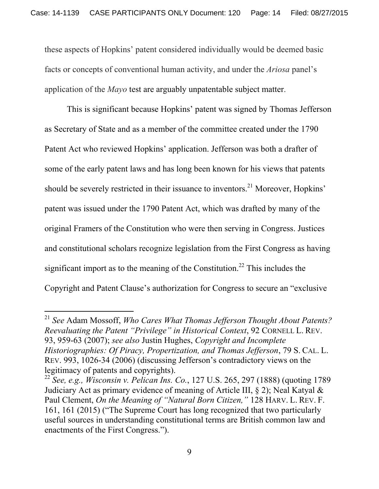these aspects of Hopkins' patent considered individually would be deemed basic facts or concepts of conventional human activity, and under the *Ariosa* panel's application of the *Mayo* test are arguably unpatentable subject matter.

This is significant because Hopkins' patent was signed by Thomas Jefferson as Secretary of State and as a member of the committee created under the 1790 Patent Act who reviewed Hopkins' application. Jefferson was both a drafter of some of the early patent laws and has long been known for his views that patents should be severely restricted in their issuance to inventors.<sup>21</sup> Moreover, Hopkins' patent was issued under the 1790 Patent Act, which was drafted by many of the original Framers of the Constitution who were then serving in Congress. Justices and constitutional scholars recognize legislation from the First Congress as having significant import as to the meaning of the Constitution.<sup>22</sup> This includes the Copyright and Patent Clause's authorization for Congress to secure an "exclusive

 $\overline{a}$ 

<sup>21</sup> *See* Adam Mossoff, *Who Cares What Thomas Jefferson Thought About Patents? Reevaluating the Patent "Privilege" in Historical Context*, 92 CORNELL L. REV. 93, 959-63 (2007); *see also* Justin Hughes, *Copyright and Incomplete Historiographies: Of Piracy, Propertization, and Thomas Jefferson*, 79 S. CAL. L. REV. 993, 1026-34 (2006) (discussing Jefferson's contradictory views on the legitimacy of patents and copyrights).

<sup>22</sup> *See, e.g., Wisconsin v. Pelican Ins. Co.*, 127 U.S. 265, 297 (1888) (quoting 1789 Judiciary Act as primary evidence of meaning of Article III, § 2); Neal Katyal & Paul Clement, *On the Meaning of "Natural Born Citizen,"* 128 HARV. L. REV. F. 161, 161 (2015) ("The Supreme Court has long recognized that two particularly useful sources in understanding constitutional terms are British common law and enactments of the First Congress.").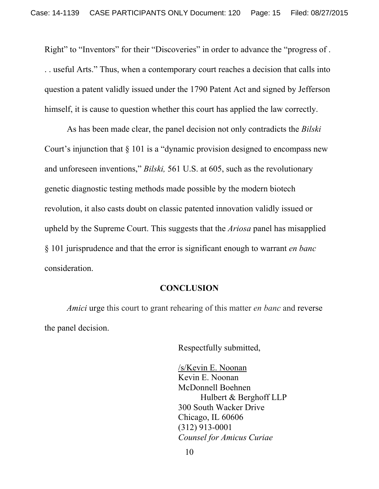Right" to "Inventors" for their "Discoveries" in order to advance the "progress of . . . useful Arts." Thus, when a contemporary court reaches a decision that calls into question a patent validly issued under the 1790 Patent Act and signed by Jefferson himself, it is cause to question whether this court has applied the law correctly.

As has been made clear, the panel decision not only contradicts the *Bilski* Court's injunction that § 101 is a "dynamic provision designed to encompass new and unforeseen inventions," *Bilski,* 561 U.S. at 605, such as the revolutionary genetic diagnostic testing methods made possible by the modern biotech revolution, it also casts doubt on classic patented innovation validly issued or upheld by the Supreme Court. This suggests that the *Ariosa* panel has misapplied § 101 jurisprudence and that the error is significant enough to warrant *en banc*  consideration.

#### **CONCLUSION**

*Amici* urge this court to grant rehearing of this matter *en banc* and reverse the panel decision.

Respectfully submitted,

 /s/Kevin E. Noonan Kevin E. Noonan McDonnell Boehnen Hulbert & Berghoff LLP 300 South Wacker Drive Chicago, IL 60606 (312) 913-0001 *Counsel for Amicus Curiae* 

10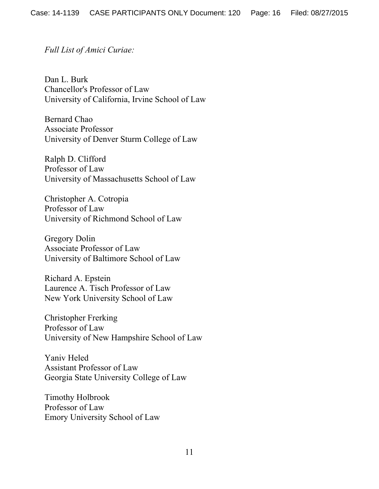*Full List of Amici Curiae:*

Dan L. Burk Chancellor's Professor of Law University of California, Irvine School of Law

Bernard Chao Associate Professor University of Denver Sturm College of Law

Ralph D. Clifford Professor of Law University of Massachusetts School of Law

Christopher A. Cotropia Professor of Law University of Richmond School of Law

Gregory Dolin Associate Professor of Law University of Baltimore School of Law

Richard A. Epstein Laurence A. Tisch Professor of Law New York University School of Law

Christopher Frerking Professor of Law University of New Hampshire School of Law

Yaniv Heled Assistant Professor of Law Georgia State University College of Law

Timothy Holbrook Professor of Law Emory University School of Law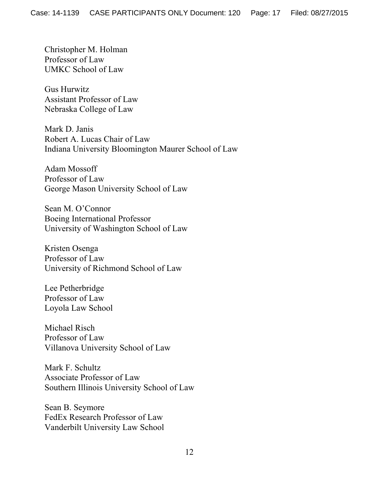Christopher M. Holman Professor of Law UMKC School of Law

Gus Hurwitz Assistant Professor of Law Nebraska College of Law

Mark D. Janis Robert A. Lucas Chair of Law Indiana University Bloomington Maurer School of Law

Adam Mossoff Professor of Law George Mason University School of Law

Sean M. O'Connor Boeing International Professor University of Washington School of Law

Kristen Osenga Professor of Law University of Richmond School of Law

Lee Petherbridge Professor of Law Loyola Law School

Michael Risch Professor of Law Villanova University School of Law

Mark F. Schultz Associate Professor of Law Southern Illinois University School of Law

Sean B. Seymore FedEx Research Professor of Law Vanderbilt University Law School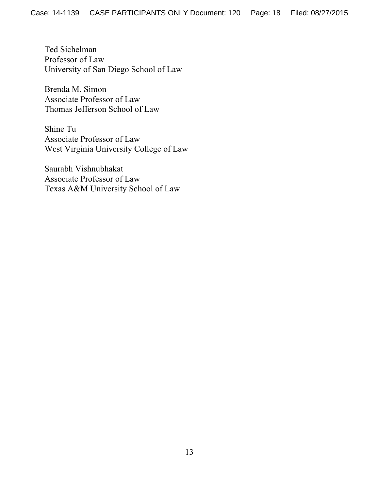Ted Sichelman Professor of Law University of San Diego School of Law

Brenda M. Simon Associate Professor of Law Thomas Jefferson School of Law

Shine Tu Associate Professor of Law West Virginia University College of Law

Saurabh Vishnubhakat Associate Professor of Law Texas A&M University School of Law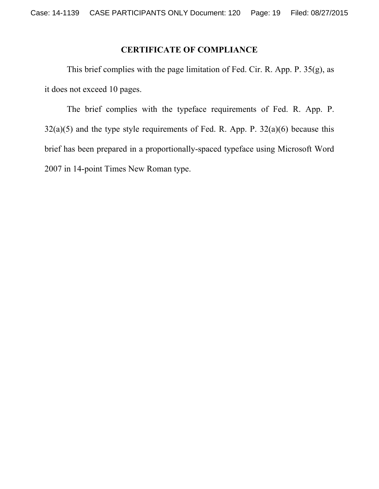# **CERTIFICATE OF COMPLIANCE**

 This brief complies with the page limitation of Fed. Cir. R. App. P. 35(g), as it does not exceed 10 pages.

 The brief complies with the typeface requirements of Fed. R. App. P.  $32(a)(5)$  and the type style requirements of Fed. R. App. P.  $32(a)(6)$  because this brief has been prepared in a proportionally-spaced typeface using Microsoft Word 2007 in 14-point Times New Roman type.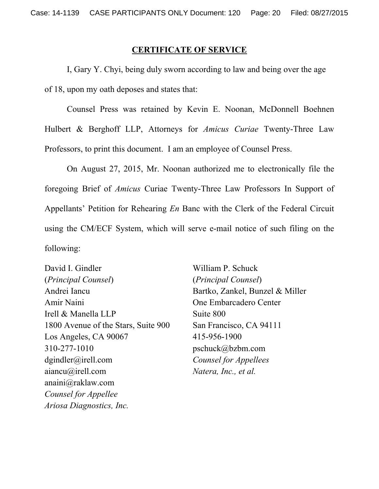#### **CERTIFICATE OF SERVICE**

I, Gary Y. Chyi, being duly sworn according to law and being over the age of 18, upon my oath deposes and states that:

Counsel Press was retained by Kevin E. Noonan, McDonnell Boehnen Hulbert & Berghoff LLP, Attorneys for *Amicus Curiae* Twenty-Three Law Professors, to print this document. I am an employee of Counsel Press.

On August 27, 2015, Mr. Noonan authorized me to electronically file the foregoing Brief of *Amicus* Curiae Twenty-Three Law Professors In Support of Appellants' Petition for Rehearing *En* Banc with the Clerk of the Federal Circuit using the CM/ECF System, which will serve e-mail notice of such filing on the following:

David I. Gindler (*Principal Counsel*) Andrei Iancu Amir Naini Irell & Manella LLP 1800 Avenue of the Stars, Suite 900 Los Angeles, CA 90067 310-277-1010 dgindler@irell.com aiancu@irell.com anaini@raklaw.com *Counsel for Appellee Ariosa Diagnostics, Inc.*

William P. Schuck (*Principal Counsel*) Bartko, Zankel, Bunzel & Miller One Embarcadero Center Suite 800 San Francisco, CA 94111 415-956-1900 pschuck@bzbm.com *Counsel for Appellees Natera, Inc., et al.*